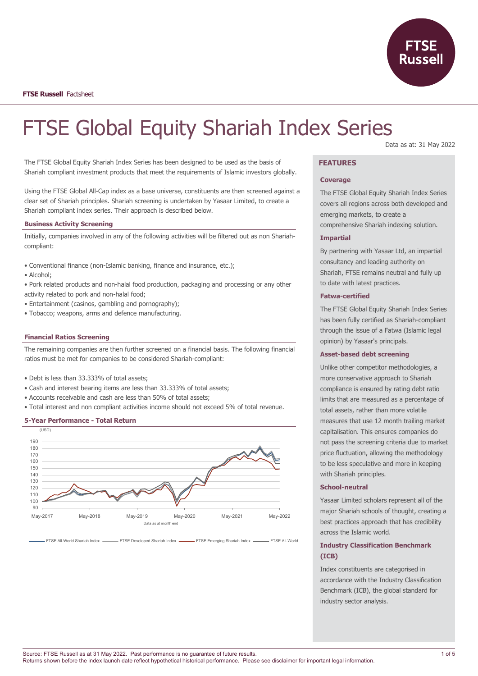

**FTSE Russell** Factsheet

# FTSE Global Equity Shariah Index Series

The FTSE Global Equity Shariah Index Series has been designed to be used as the basis of Shariah compliant investment products that meet the requirements of Islamic investors globally.

Using the FTSE Global All-Cap index as a base universe, constituents are then screened against a clear set of Shariah principles. Shariah screening is undertaken by Yasaar Limited, to create a Shariah compliant index series. Their approach is described below.

# **Business Activity Screening**

Initially, companies involved in any of the following activities will be filtered out as non Shariahcompliant:

- Conventional finance (non-Islamic banking, finance and insurance, etc.);
- Alcohol;
- Pork related products and non-halal food production, packaging and processing or any other activity related to pork and non-halal food;
- Entertainment (casinos, gambling and pornography);
- Tobacco; weapons, arms and defence manufacturing.

#### **Financial Ratios Screening**

The remaining companies are then further screened on a financial basis. The following financial ratios must be met for companies to be considered Shariah-compliant:

- Debt is less than 33.333% of total assets;
- Cash and interest bearing items are less than 33.333% of total assets;
- Accounts receivable and cash are less than 50% of total assets;
- Total interest and non compliant activities income should not exceed 5% of total revenue.

## **5-Year Performance - Total Return**



FTSE All-World Shariah Index **FRARIE Developed Shariah Index FTSE Emerging Shariah Index FTSE All-World** 

#### Data as at: 31 May 2022

# **FEATURES**

## **Coverage**

The FTSE Global Equity Shariah Index Series covers all regions across both developed and emerging markets, to create a comprehensive Shariah indexing solution.

## **Impartial**

By partnering with Yasaar Ltd, an impartial consultancy and leading authority on Shariah, FTSE remains neutral and fully up to date with latest practices.

## **Fatwa-certified**

The FTSE Global Equity Shariah Index Series has been fully certified as Shariah-compliant through the issue of a Fatwa (Islamic legal opinion) by Yasaar's principals.

### **Asset-based debt screening**

Unlike other competitor methodologies, a more conservative approach to Shariah compliance is ensured by rating debt ratio limits that are measured as a percentage of total assets, rather than more volatile measures that use 12 month trailing market capitalisation. This ensures companies do not pass the screening criteria due to market price fluctuation, allowing the methodology to be less speculative and more in keeping with Shariah principles.

# **School-neutral**

Yasaar Limited scholars represent all of the major Shariah schools of thought, creating a best practices approach that has credibility across the Islamic world.

# **Industry Classification Benchmark (ICB)**

Index constituents are categorised in accordance with the Industry Classification Benchmark (ICB), the global standard for industry sector analysis.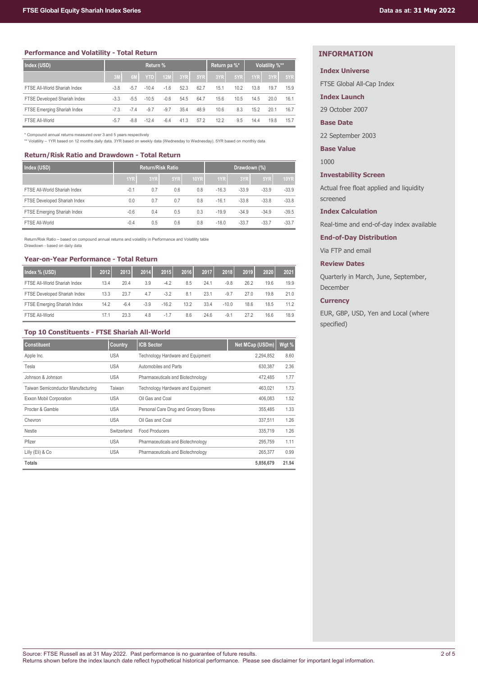## **Performance and Volatility - Total Return**

| Index (USD)                  | Return % |        |            |            |      |      |      | Return pa %* | Volatility %** |      |      |
|------------------------------|----------|--------|------------|------------|------|------|------|--------------|----------------|------|------|
|                              | 3M       | 6M     | <b>YTD</b> | <b>12M</b> | 3YR  | 5YR  | 3YR  | 5YR          | 1YR            | 3YR  | 5YR  |
| FTSE All-World Shariah Index | $-3.8$   | $-5.7$ | $-10.4$    | $-1.6$     | 52.3 | 62.7 | 15.1 | 10.2         | 13.8           | 19.7 | 15.9 |
| FTSE Developed Shariah Index | $-3.3$   | $-5.5$ | $-10.5$    | $-0.6$     | 54.5 | 64.7 | 15.6 | 10.5         | 14.5           | 20.0 | 16.1 |
| FTSE Emerging Shariah Index  | $-7.3$   | $-7.4$ | $-9.7$     | $-9.7$     | 35.4 | 48.9 | 10.6 | 8.3          | 15.2           | 20.1 | 16.7 |
| FTSE All-World               | $-5.7$   | $-8.8$ | $-12.4$    | $-6.4$     | 41.3 | 57.2 | 12.2 | 9.5          | 14.4           | 19.8 | 15.7 |

\* Compound annual returns measured over 3 and 5 years respectively

\*\* Volatility – 1YR based on 12 months daily data. 3YR based on weekly data (Wednesday to Wednesday). 5YR based on monthly data

# **Return/Risk Ratio and Drawdown - Total Return**

| Index (USD)                  |        | <b>Return/Risk Ratio</b> |     |             | Drawdown (%) |         |         |             |
|------------------------------|--------|--------------------------|-----|-------------|--------------|---------|---------|-------------|
|                              | 1YR    | 3YR                      | 5YR | <b>10YR</b> | 1YR          | 3YR     | 5YR     | <b>10YR</b> |
| FTSE All-World Shariah Index | $-0.1$ | 0.7                      | 0.6 | 0.8         | $-16.3$      | $-33.9$ | $-33.9$ | $-33.9$     |
| FTSE Developed Shariah Index | 0.0    | 0.7                      | 0.7 | 0.8         | $-16.1$      | $-33.8$ | $-33.8$ | $-33.8$     |
| FTSE Emerging Shariah Index  | $-0.6$ | 0.4                      | 0.5 | 0.3         | $-19.9$      | $-34.9$ | $-34.9$ | $-39.5$     |
| FTSE All-World               | $-0.4$ | 0.5                      | 0.6 | 0.8         | $-18.0$      | $-33.7$ | $-33.7$ | $-33.7$     |

Return/Risk Ratio – based on compound annual returns and volatility in Performance and Volatility table Drawdown - based on daily data

# **Year-on-Year Performance - Total Return**

| Index % (USD)                | 2012 | 2013   | 2014   | 2015    | 2016 | 2017 | 2018    | 2019 | 2020 | 2021 |
|------------------------------|------|--------|--------|---------|------|------|---------|------|------|------|
| FTSE All-World Shariah Index | 13.4 | 20.4   | 3.9    | $-4.2$  | 8.5  | 24.1 | $-9.8$  | 26.2 | 19.6 | 19.9 |
| FTSE Developed Shariah Index | 13.3 | 23.7   | 4.7    | $-3.2$  | 8.1  | 23.1 | $-9.7$  | 270  | 19.8 | 21.0 |
| FTSE Emerging Shariah Index  | 14.2 | $-6.4$ | $-3.9$ | $-16.2$ | 13.2 | 33.4 | $-10.0$ | 18.6 | 18.5 | 11.2 |
| FTSE All-World               | 17.1 | 23.3   | 4.8    | $-1.7$  | 8.6  | 24.6 | $-9.1$  | 272  | 16.6 | 18.9 |

# **Top 10 Constituents - FTSE Shariah All-World**

| <b>Constituent</b>                 | <b>Country</b> | <b>ICB Sector</b>                        | Net MCap (USDm) | Wgt % |
|------------------------------------|----------------|------------------------------------------|-----------------|-------|
| Apple Inc.                         | <b>USA</b>     | Technology Hardware and Equipment        | 2,294,852       | 8.60  |
| Tesla                              | <b>USA</b>     | Automobiles and Parts                    | 630.387         | 2.36  |
| Johnson & Johnson                  | <b>USA</b>     | Pharmaceuticals and Biotechnology        | 472.485         | 1.77  |
| Taiwan Semiconductor Manufacturing | Taiwan         | <b>Technology Hardware and Equipment</b> | 463.021         | 1.73  |
| Exxon Mobil Corporation            | <b>USA</b>     | Oil Gas and Coal                         | 406.083         | 1.52  |
| Procter & Gamble                   | <b>USA</b>     | Personal Care Drug and Grocery Stores    | 355,485         | 1.33  |
| Chevron                            | <b>USA</b>     | Oil Gas and Coal                         | 337.511         | 1.26  |
| Nestle                             | Switzerland    | Food Producers                           | 335.719         | 1.26  |
| Pfizer                             | <b>USA</b>     | Pharmaceuticals and Biotechnology        | 295.759         | 1.11  |
| Lilly (Eli) & Co                   | <b>USA</b>     | Pharmaceuticals and Biotechnology        | 265.377         | 0.99  |
| <b>Totals</b>                      |                |                                          | 5,856,679       | 21.94 |

# **INFORMATION**

## **Index Universe**

FTSE Global All-Cap Index

**Index Launch**

29 October 2007

#### **Base Date**

22 September 2003

**Base Value**

1000

## **Investability Screen**

Actual free float applied and liquidity screened

#### **Index Calculation**

Real-time and end-of-day index available

**End-of-Day Distribution**

Via FTP and email

## **Review Dates**

Quarterly in March, June, September, December

#### **Currency**

EUR, GBP, USD, Yen and Local (where specified)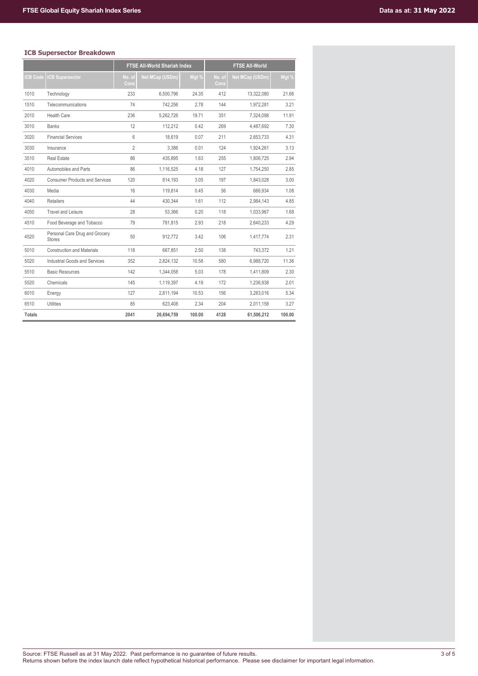# **ICB Supersector Breakdown**

|                |                                                 |                | <b>FTSE All-World Shariah Index</b> |        |                | <b>FTSE All-World</b>  |        |
|----------------|-------------------------------------------------|----------------|-------------------------------------|--------|----------------|------------------------|--------|
| <b>CB Code</b> | <b>CB Supersector</b>                           | No. of<br>Cons | Net MCap (USDm)                     | Wgt %  | No. of<br>Cons | <b>Net MCap (USDm)</b> | Wgt %  |
| 1010           | Technology                                      | 233            | 6,500,796                           | 24.35  | 412            | 13,322,080             | 21.66  |
| 1510           | Telecommunications                              | 74             | 742,256                             | 2.78   | 144            | 1,972,281              | 3.21   |
| 2010           | <b>Health Care</b>                              | 236            | 5,262,726                           | 19.71  | 351            | 7.324.098              | 11.91  |
| 3010           | <b>Banks</b>                                    | 12             | 112.212                             | 0.42   | 269            | 4.487.692              | 7.30   |
| 3020           | <b>Financial Services</b>                       | 6              | 18.619                              | 0.07   | 211            | 2,653,733              | 4.31   |
| 3030           | Insurance                                       | $\overline{2}$ | 3,386                               | 0.01   | 124            | 1,924,261              | 3.13   |
| 3510           | <b>Real Estate</b>                              | 86             | 435.895                             | 1.63   | 255            | 1.806.725              | 2.94   |
| 4010           | Automobiles and Parts                           | 86             | 1,116,525                           | 4.18   | 127            | 1,754,250              | 2.85   |
| 4020           | <b>Consumer Products and Services</b>           | 120            | 814,193                             | 3.05   | 197            | 1,843,028              | 3.00   |
| 4030           | Media                                           | 16             | 119,814                             | 0.45   | 56             | 666,934                | 1.08   |
| 4040           | <b>Retailers</b>                                | 44             | 430.344                             | 1.61   | 112            | 2.984.143              | 4.85   |
| 4050           | <b>Travel and Leisure</b>                       | 28             | 53.366                              | 0.20   | 118            | 1.033.967              | 1.68   |
| 4510           | Food Beverage and Tobacco                       | 79             | 781,815                             | 2.93   | 218            | 2,640,233              | 4.29   |
| 4520           | Personal Care Drug and Grocery<br><b>Stores</b> | 50             | 912.772                             | 3.42   | 106            | 1.417.774              | 2.31   |
| 5010           | <b>Construction and Materials</b>               | 118            | 667.851                             | 2.50   | 138            | 743,372                | 1.21   |
| 5020           | Industrial Goods and Services                   | 352            | 2,824,132                           | 10.58  | 580            | 6.988.720              | 11.36  |
| 5510           | <b>Basic Resources</b>                          | 142            | 1,344,058                           | 5.03   | 178            | 1,411,809              | 2.30   |
| 5520           | Chemicals                                       | 145            | 1,119,397                           | 4.19   | 172            | 1,236,938              | 2.01   |
| 6010           | Energy                                          | 127            | 2.811.194                           | 10.53  | 156            | 3.283.016              | 5.34   |
| 6510           | <b>Utilities</b>                                | 85             | 623.408                             | 2.34   | 204            | 2,011,158              | 3.27   |
| <b>Totals</b>  |                                                 | 2041           | 26,694,759                          | 100.00 | 4128           | 61,506,212             | 100.00 |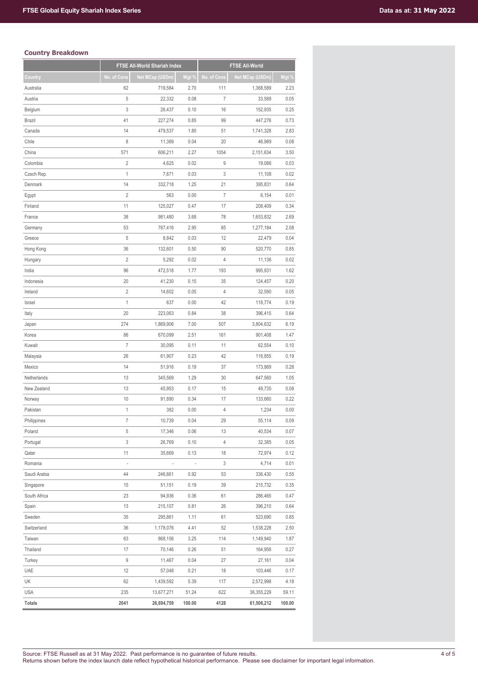# **Country Breakdown**

|               |                          | FTSE All-World Shariah Index |                          | <b>FTSE All-World</b> |                 |        |  |
|---------------|--------------------------|------------------------------|--------------------------|-----------------------|-----------------|--------|--|
| Country       | No. of Cons              | Net MCap (USDm)              | Wgt %                    | No. of Cons           | Net MCap (USDm) | Wgt %  |  |
| Australia     | 62                       | 719,584                      | 2.70                     | 111                   | 1,368,589       | 2.23   |  |
| Austria       | 5                        | 22,332                       | 0.08                     | $\overline{7}$        | 33,588          | 0.05   |  |
| Belgium       | 3                        | 26,437                       | 0.10                     | 16                    | 152,935         | 0.25   |  |
| <b>Brazil</b> | 41                       | 227,274                      | 0.85                     | 99                    | 447,276         | 0.73   |  |
| Canada        | 14                       | 479,537                      | 1.80                     | 51                    | 1,741,328       | 2.83   |  |
| Chile         | 8                        | 11,389                       | 0.04                     | 20                    | 46,989          | 0.08   |  |
| China         | 571                      | 606,211                      | 2.27                     | 1054                  | 2,151,634       | 3.50   |  |
| Colombia      | $\overline{2}$           | 4,625                        | 0.02                     | 9                     | 19,086          | 0.03   |  |
| Czech Rep.    | $\mathbf{1}$             | 7,671                        | 0.03                     | 3                     | 11,108          | 0.02   |  |
| Denmark       | 14                       | 332,718                      | 1.25                     | 21                    | 395,831         | 0.64   |  |
| Egypt         | $\overline{2}$           | 563                          | 0.00                     | $\overline{7}$        | 6,154           | 0.01   |  |
| Finland       | 11                       | 125,027                      | 0.47                     | 17                    | 208,409         | 0.34   |  |
| France        | 38                       | 981,480                      | 3.68                     | 78                    | 1,653,832       | 2.69   |  |
| Germany       | 53                       | 787,416                      | 2.95                     | 85                    | 1,277,184       | 2.08   |  |
| Greece        | 5                        | 8,842                        | 0.03                     | 12                    | 22,479          | 0.04   |  |
| Hong Kong     | 36                       | 132,601                      | 0.50                     | 90                    | 520,770         | 0.85   |  |
| Hungary       | $\overline{2}$           | 5,292                        | 0.02                     | 4                     | 11,136          | 0.02   |  |
| India         | 96                       | 472,518                      | 1.77                     | 193                   | 995,931         | 1.62   |  |
| Indonesia     | 20                       | 41,230                       | 0.15                     | 35                    | 124,457         | 0.20   |  |
| Ireland       | $\overline{2}$           | 14,602                       | 0.05                     | 4                     | 32,590          | 0.05   |  |
| Israel        | $\mathbf{1}$             | 637                          | 0.00                     | 42                    | 118,774         | 0.19   |  |
| Italy         | 20                       | 223,063                      | 0.84                     | 38                    | 396,415         | 0.64   |  |
| Japan         | 274                      | 1,869,906                    | 7.00                     | 507                   | 3,804,632       | 6.19   |  |
| Korea         | 86                       | 670,099                      | 2.51                     | 161                   | 901,408         | 1.47   |  |
| Kuwait        | $\overline{7}$           | 30,095                       | 0.11                     | 11                    | 62,554          | 0.10   |  |
| Malaysia      | 26                       | 61,907                       | 0.23                     | 42                    | 118,855         | 0.19   |  |
| Mexico        | 14                       | 51,916                       | 0.19                     | 37                    | 173,869         | 0.28   |  |
| Netherlands   | 13                       | 345,569                      | 1.29                     | 30                    | 647,560         | 1.05   |  |
| New Zealand   | 13                       | 45,953                       | 0.17                     | 15                    | 49,735          | 0.08   |  |
| Norway        | 10                       | 91,890                       | 0.34                     | 17                    | 133,660         | 0.22   |  |
| Pakistan      | 1                        | 382                          | 0.00                     | 4                     | 1,234           | 0.00   |  |
| Philippines   | $\overline{7}$           | 10,739                       | 0.04                     | 29                    | 55,114          | 0.09   |  |
| Poland        | 5                        | 17,346                       | 0.06                     | 13                    | 40,534          | 0.07   |  |
| Portugal      | 3                        | 26,769                       | 0.10                     | $\overline{4}$        | 32,385          | 0.05   |  |
| Qatar         | 11                       | 35,669                       | 0.13                     | 18                    | 72,974          | 0.12   |  |
| Romania       | $\overline{\phantom{a}}$ |                              | $\overline{\phantom{a}}$ | 3                     | 4,714           | 0.01   |  |
| Saudi Arabia  | 44                       | 246,661                      | 0.92                     | 53                    | 336,430         | 0.55   |  |
| Singapore     | 15                       | 51,151                       | 0.19                     | 39                    | 215,732         | 0.35   |  |
| South Africa  | 23                       | 94,936                       | 0.36                     | 61                    | 286,465         | 0.47   |  |
| Spain         | 13                       | 215,107                      | 0.81                     | 26                    | 396,210         | 0.64   |  |
| Sweden        | 35                       | 295,861                      | 1.11                     | 61                    | 523,690         | 0.85   |  |
| Switzerland   | 36                       | 1,178,076                    | 4.41                     | 52                    | 1,538,228       | 2.50   |  |
| Taiwan        | 63                       | 868,156                      | 3.25                     | 114                   | 1,149,940       | 1.87   |  |
| Thailand      | 17                       | 70,146                       | 0.26                     | 51                    | 164,958         | 0.27   |  |
| Turkey        | 9                        | 11,467                       | 0.04                     | 27                    | 27,161          | 0.04   |  |
| UAE           | 12                       | 57,048                       | 0.21                     | 18                    | 103,446         | 0.17   |  |
| UK            | 62                       | 1,439,592                    | 5.39                     | 117                   | 2,572,998       | 4.18   |  |
| <b>USA</b>    | 235                      | 13,677,271                   | 51.24                    | 622                   | 36,355,229      | 59.11  |  |
| <b>Totals</b> | 2041                     | 26,694,759                   | 100.00                   | 4128                  | 61,506,212      | 100.00 |  |